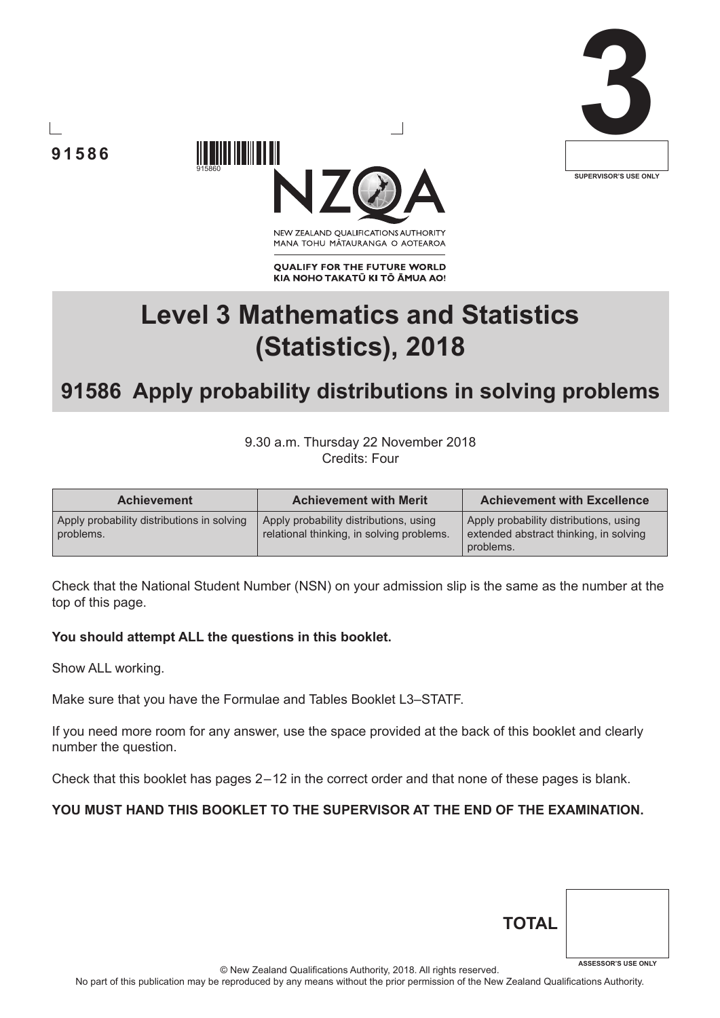







**QUALIFY FOR THE FUTURE WORLD** KIA NOHO TAKATŪ KI TŌ ĀMUA AO!

# **Level 3 Mathematics and Statistics (Statistics), 2018**

## **91586 Apply probability distributions in solving problems**

9.30 a.m. Thursday 22 November 2018 Credits: Four

| <b>Achievement</b>                                      | <b>Achievement with Merit</b>                                                       | <b>Achievement with Excellence</b>                                                            |
|---------------------------------------------------------|-------------------------------------------------------------------------------------|-----------------------------------------------------------------------------------------------|
| Apply probability distributions in solving<br>problems. | Apply probability distributions, using<br>relational thinking, in solving problems. | Apply probability distributions, using<br>extended abstract thinking, in solving<br>problems. |

Check that the National Student Number (NSN) on your admission slip is the same as the number at the top of this page.

#### **You should attempt ALL the questions in this booklet.**

915860

Show ALL working.

Make sure that you have the Formulae and Tables Booklet L3–STATF.

If you need more room for any answer, use the space provided at the back of this booklet and clearly number the question.

Check that this booklet has pages 2 – 12 in the correct order and that none of these pages is blank.

#### **YOU MUST HAND THIS BOOKLET TO THE SUPERVISOR AT THE END OF THE EXAMINATION.**

| <b>TOTAL</b> |                            |
|--------------|----------------------------|
|              | <b>ASSESSOR'S USE ONLY</b> |

© New Zealand Qualifications Authority, 2018. All rights reserved.

No part of this publication may be reproduced by any means without the prior permission of the New Zealand Qualifications Authority.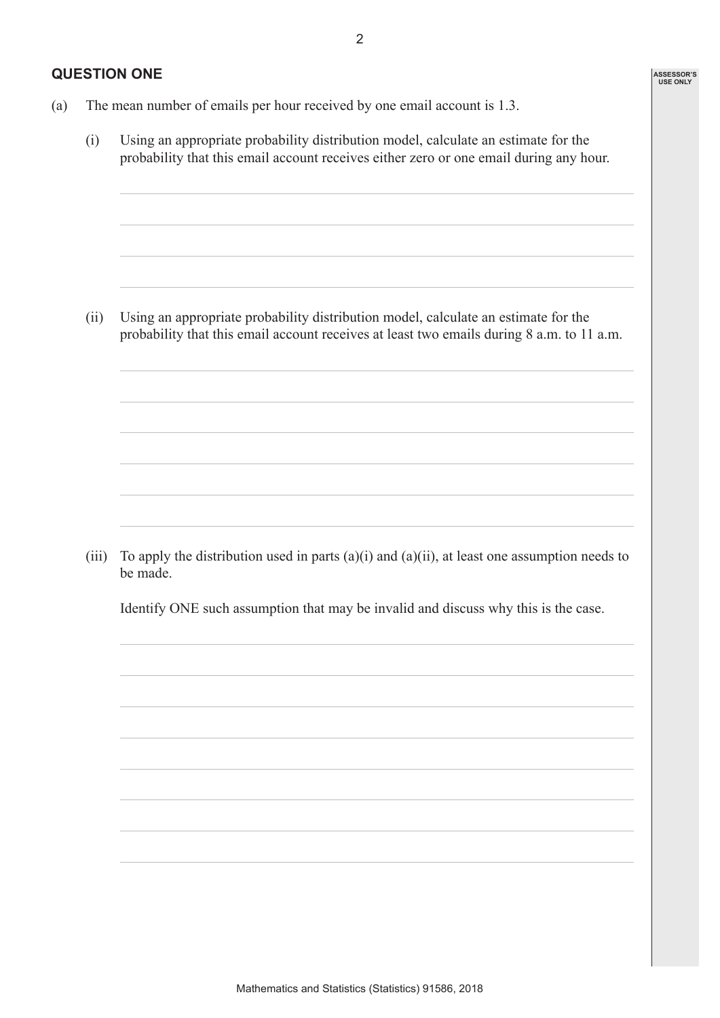### **QUESTION ONE**

- (a) The mean number of emails per hour received by one email account is 1.3.
	- (i) Using an appropriate probability distribution model, calculate an estimate for the probability that this email account receives either zero or one email during any hour.

(ii) Using an appropriate probability distribution model, calculate an estimate for the probability that this email account receives at least two emails during 8 a.m. to 11 a.m.

(iii) To apply the distribution used in parts  $(a)(i)$  and  $(a)(ii)$ , at least one assumption needs to be made.

Identify ONE such assumption that may be invalid and discuss why this is the case.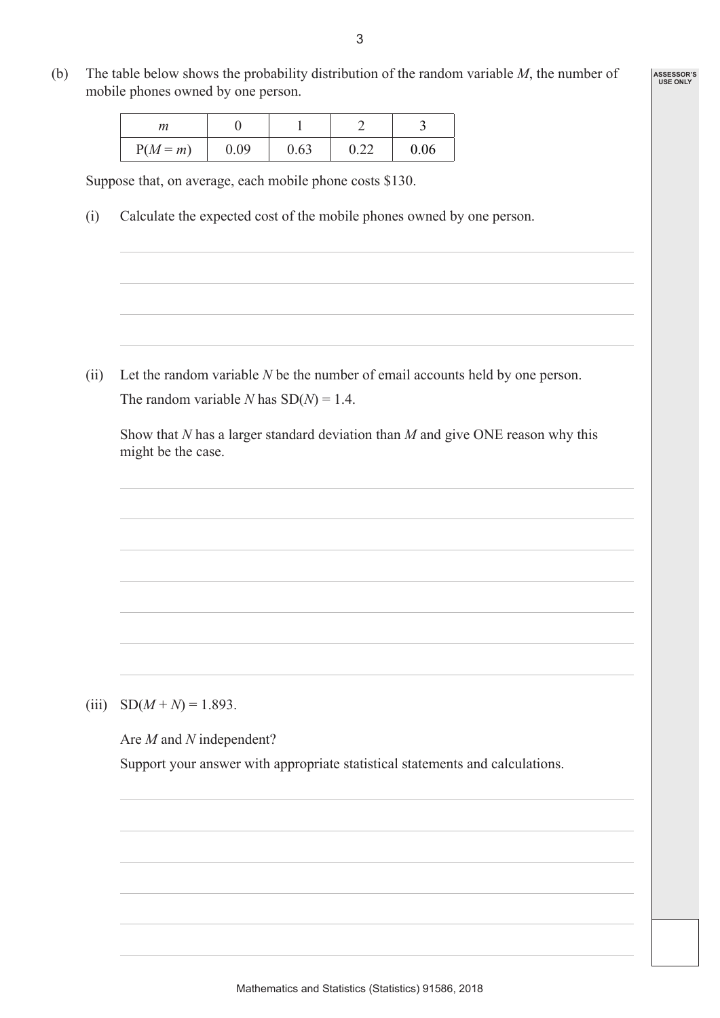(b) The table below shows the probability distribution of the random variable *M*, the number of mobile phones owned by one person.

| т        |      |      |      |      |
|----------|------|------|------|------|
| $P(M=m)$ | 0.09 | 0.63 | 0.22 | 0.06 |

Suppose that, on average, each mobile phone costs \$130.

(i) Calculate the expected cost of the mobile phones owned by one person.

(ii) Let the random variable *N* be the number of email accounts held by one person. The random variable *N* has  $SD(N) = 1.4$ .

 Show that *N* has a larger standard deviation than *M* and give ONE reason why this might be the case.

(iii)  $SD(M+N) = 1.893$ .

Are *M* and *N* independent?

Support your answer with appropriate statistical statements and calculations.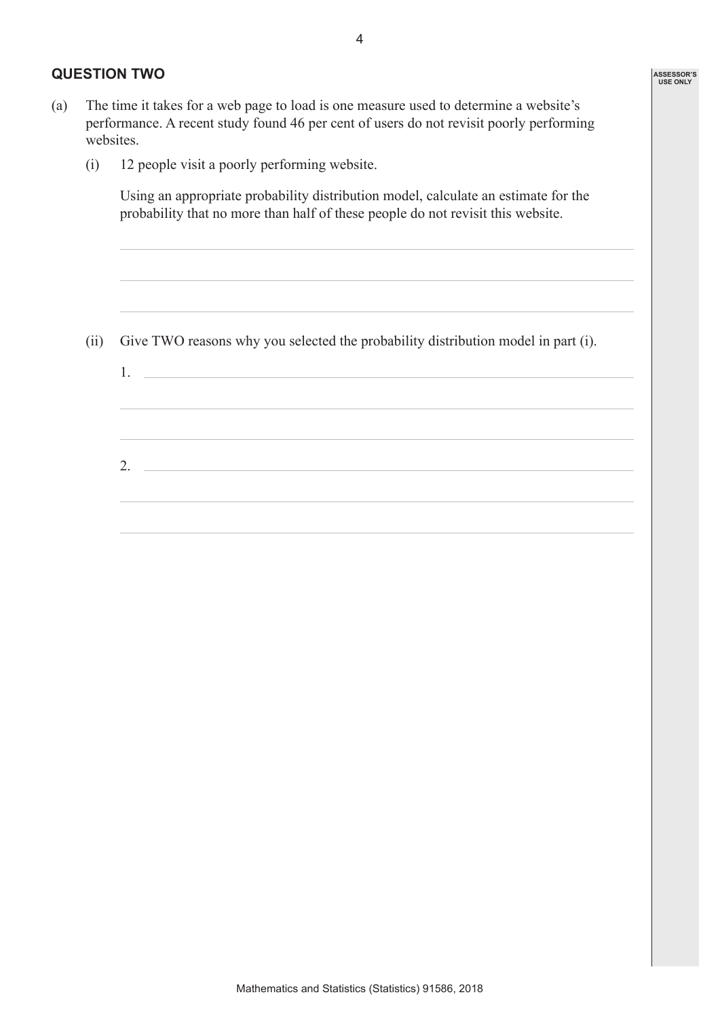#### **QUESTION TWO**

- (a) The time it takes for a web page to load is one measure used to determine a website's performance. A recent study found 46 per cent of users do not revisit poorly performing websites.
	- (i) 12 people visit a poorly performing website.

 Using an appropriate probability distribution model, calculate an estimate for the probability that no more than half of these people do not revisit this website.

(ii) Give TWO reasons why you selected the probability distribution model in part (i).

1.

2.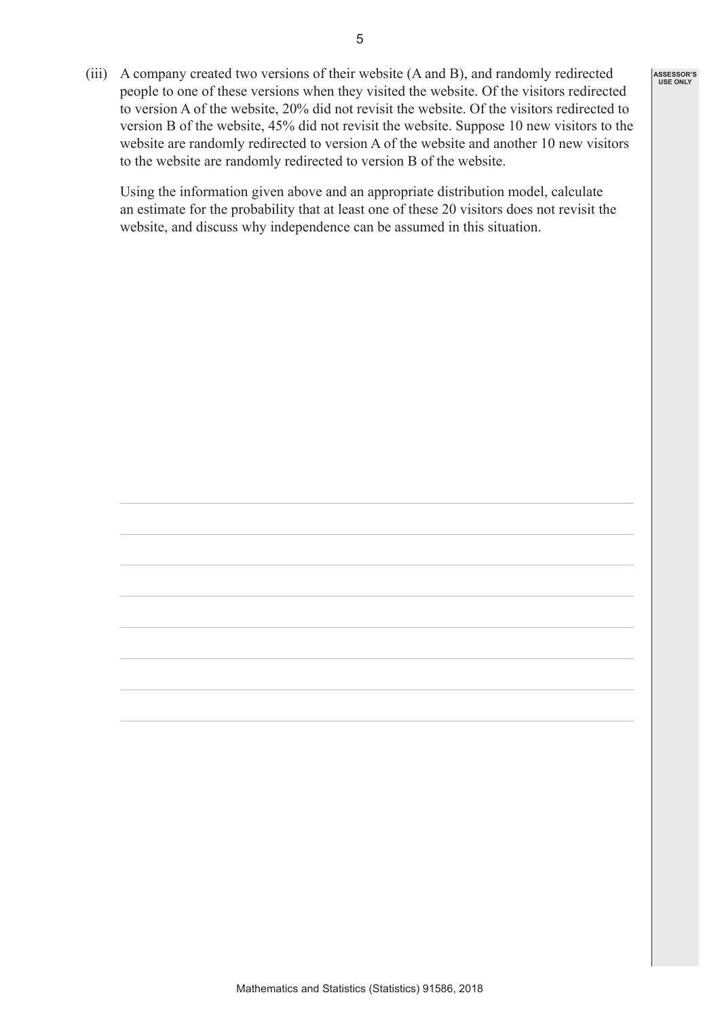(iii) A company created two versions of their website (A and B), and randomly redirected people to one of these versions when they visited the website. Of the visitors redirected to version A of the website, 20% did not revisit the website. Of the visitors redirected to version B of the website, 45% did not revisit the website. Suppose 10 new visitors to the website are randomly redirected to version A of the website and another 10 new visitors to the website are randomly redirected to version B of the website.

 Using the information given above and an appropriate distribution model, calculate an estimate for the probability that at least one of these 20 visitors does not revisit the website, and discuss why independence can be assumed in this situation.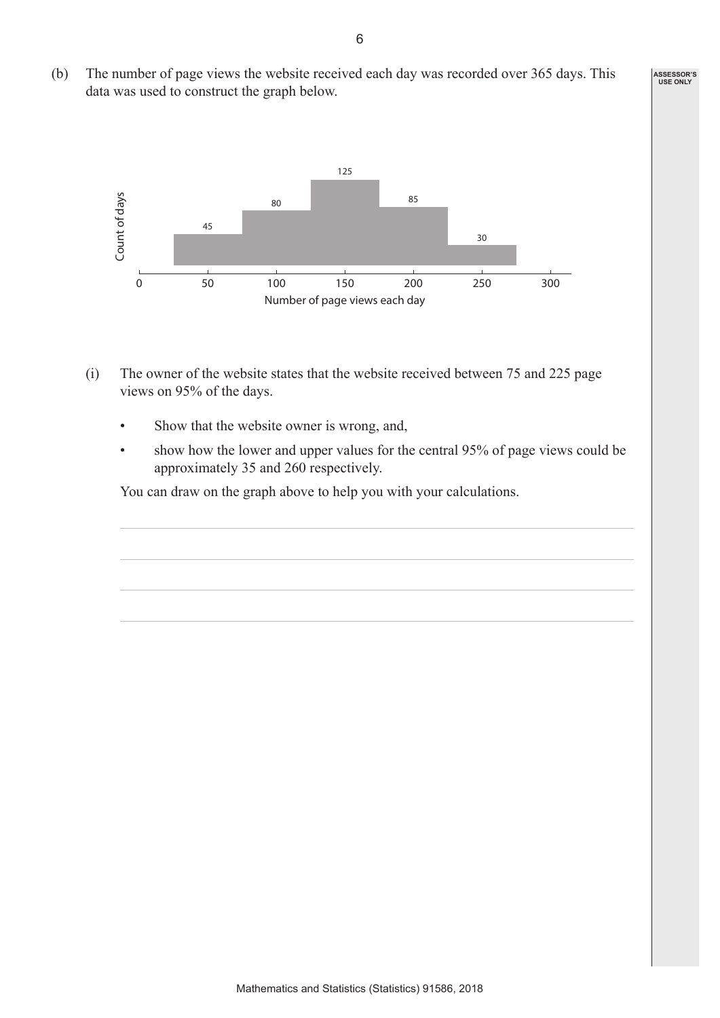(b) The number of page views the website received each day was recorded over 365 days. This data was used to construct the graph below.



- (i) The owner of the website states that the website received between 75 and 225 page views on 95% of the days.
	- Show that the website owner is wrong, and,
	- show how the lower and upper values for the central 95% of page views could be approximately 35 and 260 respectively.

You can draw on the graph above to help you with your calculations.

6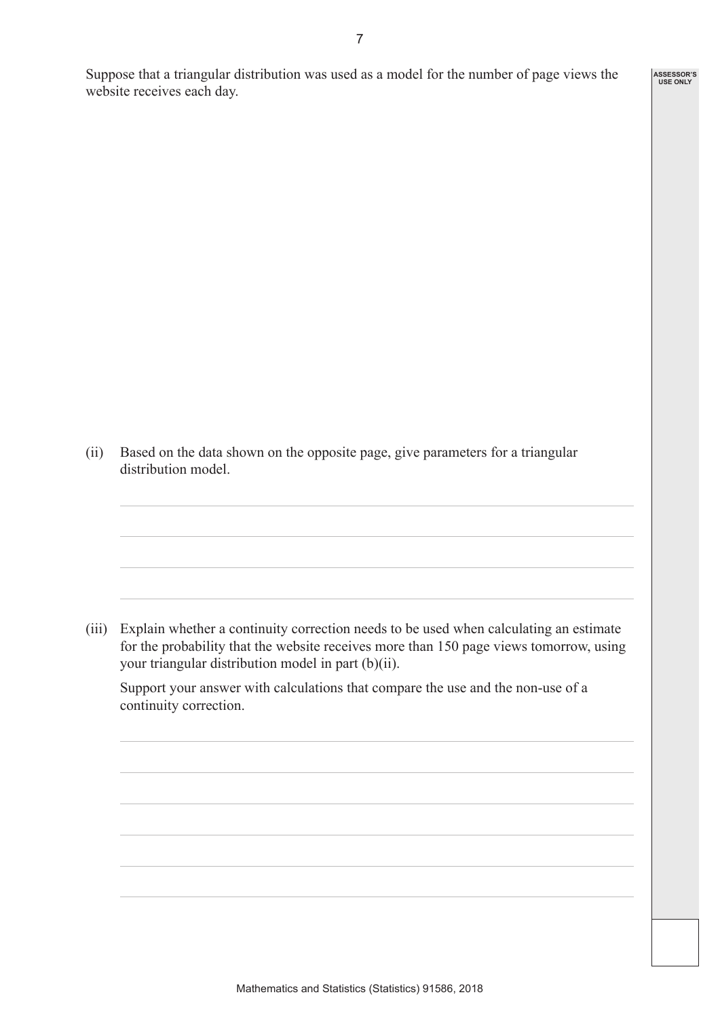Suppose that a triangular distribution was used as a model for the number of page views the website receives each day.

(ii) Based on the data shown on the opposite page, give parameters for a triangular distribution model.

(iii) Explain whether a continuity correction needs to be used when calculating an estimate for the probability that the website receives more than 150 page views tomorrow, using your triangular distribution model in part (b)(ii).

 Support your answer with calculations that compare the use and the non-use of a continuity correction.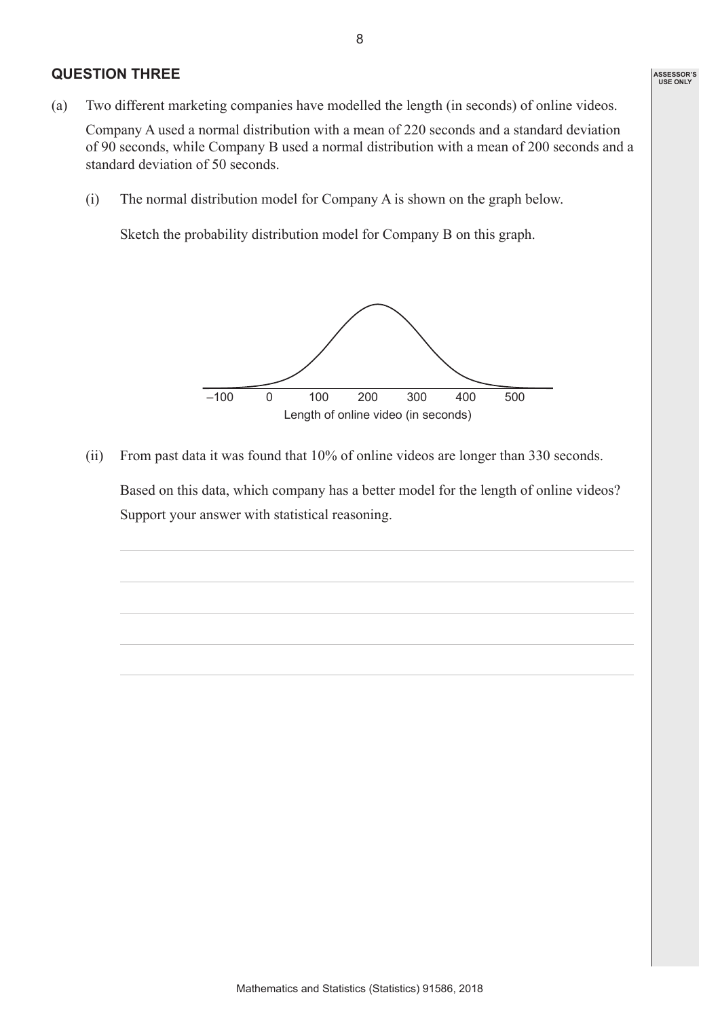#### **QUESTION THREE**

- (a) Two different marketing companies have modelled the length (in seconds) of online videos. Company A used a normal distribution with a mean of 220 seconds and a standard deviation of 90 seconds, while Company B used a normal distribution with a mean of 200 seconds and a standard deviation of 50 seconds.
	- (i) The normal distribution model for Company A is shown on the graph below.

Sketch the probability distribution model for Company B on this graph.



(ii) From past data it was found that 10% of online videos are longer than 330 seconds.

 Based on this data, which company has a better model for the length of online videos? Support your answer with statistical reasoning.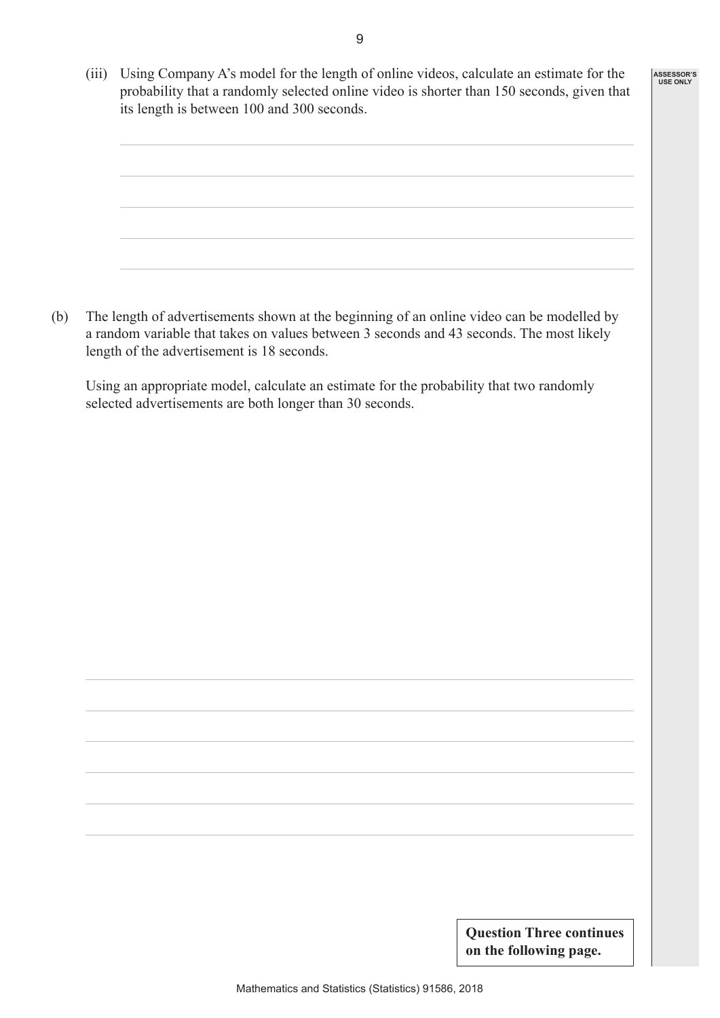(iii) Using Company A's model for the length of online videos, calculate an estimate for the probability that a randomly selected online video is shorter than 150 seconds, given that its length is between 100 and 300 seconds.

(b) The length of advertisements shown at the beginning of an online video can be modelled by a random variable that takes on values between 3 seconds and 43 seconds. The most likely length of the advertisement is 18 seconds.

Using an appropriate model, calculate an estimate for the probability that two randomly selected advertisements are both longer than 30 seconds.

> **Question Three continues on the following page.**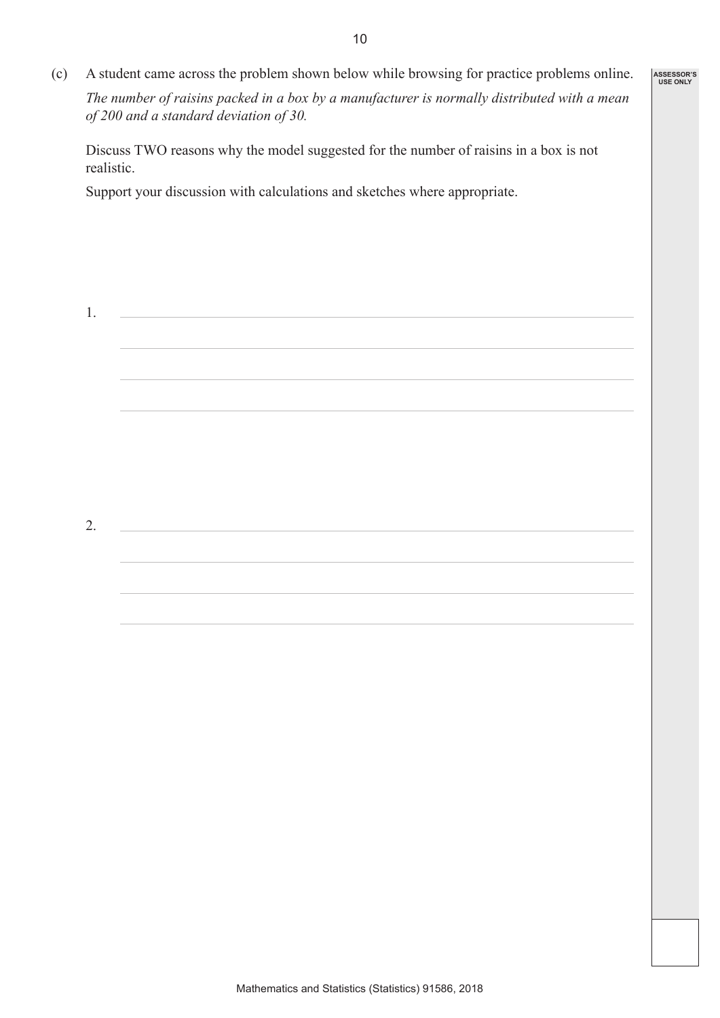(c) A student came across the problem shown below while browsing for practice problems online. *The number of raisins packed in a box by a manufacturer is normally distributed with a mean of 200 and a standard deviation of 30.* 

Discuss TWO reasons why the model suggested for the number of raisins in a box is not realistic.

Support your discussion with calculations and sketches where appropriate.

1.

2.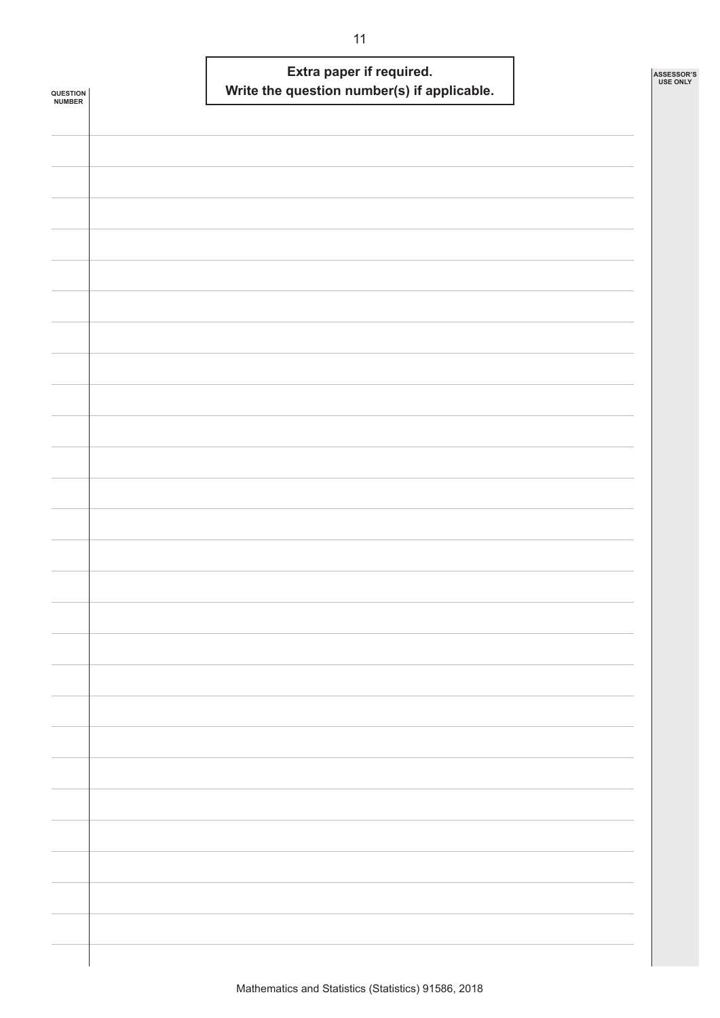| QUESTION<br><b>NUMBER</b> | Extra paper if required.<br>Write the question number(s) if applicable. |  |
|---------------------------|-------------------------------------------------------------------------|--|
|                           |                                                                         |  |
|                           |                                                                         |  |
|                           |                                                                         |  |
|                           |                                                                         |  |
|                           |                                                                         |  |
|                           |                                                                         |  |
|                           |                                                                         |  |
|                           |                                                                         |  |
|                           |                                                                         |  |
|                           |                                                                         |  |
|                           |                                                                         |  |
|                           |                                                                         |  |
|                           |                                                                         |  |
|                           |                                                                         |  |
|                           |                                                                         |  |
|                           |                                                                         |  |
|                           |                                                                         |  |
|                           |                                                                         |  |
|                           |                                                                         |  |
|                           |                                                                         |  |
|                           |                                                                         |  |
|                           |                                                                         |  |
|                           |                                                                         |  |
|                           |                                                                         |  |
|                           |                                                                         |  |
|                           |                                                                         |  |
|                           |                                                                         |  |
|                           |                                                                         |  |
|                           |                                                                         |  |